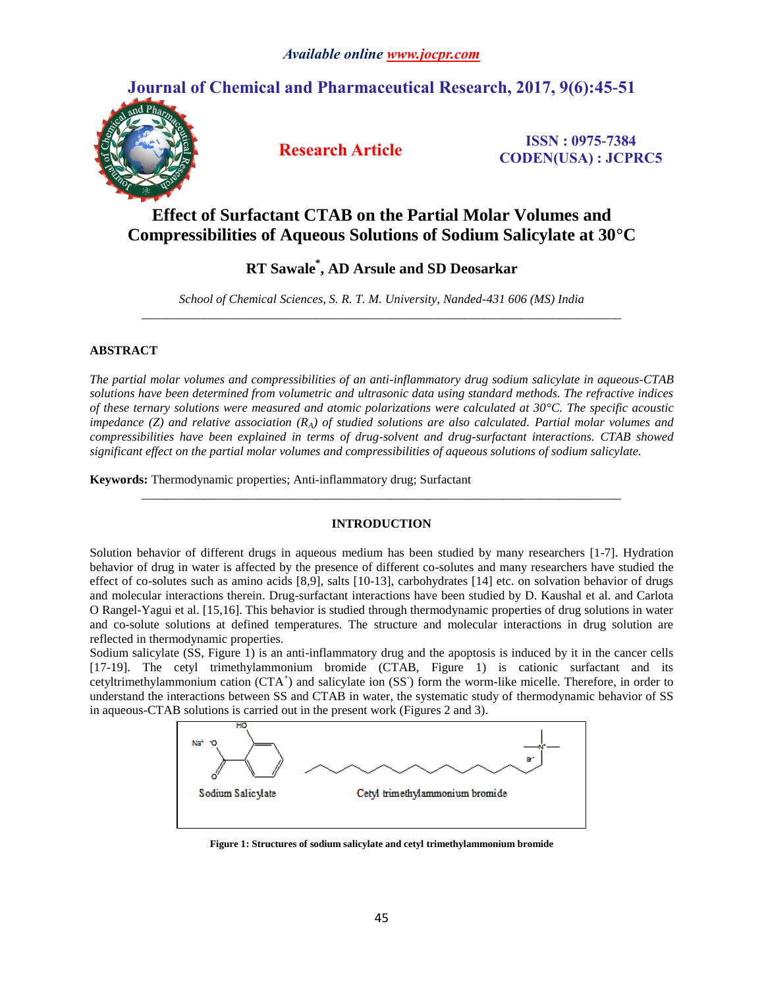# **Journal of Chemical and Pharmaceutical Research, 2017, 9(6):45-51**



**Research Article ISSN : 0975-7384 CODEN(USA) : JCPRC5**

# **Effect of Surfactant CTAB on the Partial Molar Volumes and Compressibilities of Aqueous Solutions of Sodium Salicylate at 30°C**

# **RT Sawale \* , AD Arsule and SD Deosarkar**

*School of Chemical Sciences, S. R. T. M. University, Nanded-431 606 (MS) India \_\_\_\_\_\_\_\_\_\_\_\_\_\_\_\_\_\_\_\_\_\_\_\_\_\_\_\_\_\_\_\_\_\_\_\_\_\_\_\_\_\_\_\_\_\_\_\_\_\_\_\_\_\_\_\_\_\_\_\_\_\_\_\_\_\_\_\_\_\_\_\_\_\_\_\_\_*

## **ABSTRACT**

*The partial molar volumes and compressibilities of an anti-inflammatory drug sodium salicylate in aqueous-CTAB solutions have been determined from volumetric and ultrasonic data using standard methods. The refractive indices of these ternary solutions were measured and atomic polarizations were calculated at 30°C. The specific acoustic impedance (Z) and relative association (RA) of studied solutions are also calculated. Partial molar volumes and compressibilities have been explained in terms of drug-solvent and drug-surfactant interactions. CTAB showed significant effect on the partial molar volumes and compressibilities of aqueous solutions of sodium salicylate.*

**Keywords:** Thermodynamic properties; Anti-inflammatory drug; Surfactant

### **INTRODUCTION**

*\_\_\_\_\_\_\_\_\_\_\_\_\_\_\_\_\_\_\_\_\_\_\_\_\_\_\_\_\_\_\_\_\_\_\_\_\_\_\_\_\_\_\_\_\_\_\_\_\_\_\_\_\_\_\_\_\_\_\_\_\_\_\_\_\_\_\_\_\_\_\_\_\_\_\_\_\_*

Solution behavior of different drugs in aqueous medium has been studied by many researchers [1-7]. Hydration behavior of drug in water is affected by the presence of different co-solutes and many researchers have studied the effect of co-solutes such as amino acids [8,9], salts [10-13], carbohydrates [14] etc. on solvation behavior of drugs and molecular interactions therein. Drug-surfactant interactions have been studied by D. Kaushal et al. and Carlota O Rangel-Yagui et al. [15,16]. This behavior is studied through thermodynamic properties of drug solutions in water and co-solute solutions at defined temperatures. The structure and molecular interactions in drug solution are reflected in thermodynamic properties.

Sodium salicylate (SS, Figure 1) is an anti-inflammatory drug and the apoptosis is induced by it in the cancer cells [17-19]. The cetyl trimethylammonium bromide (CTAB, Figure 1) is cationic surfactant and its cetyltrimethylammonium cation (CTA<sup>+</sup>) and salicylate ion (SS<sup>-</sup>) form the worm-like micelle. Therefore, in order to understand the interactions between SS and CTAB in water, the systematic study of thermodynamic behavior of SS in aqueous-CTAB solutions is carried out in the present work (Figures 2 and 3).



**Figure 1: Structures of sodium salicylate and cetyl trimethylammonium bromide**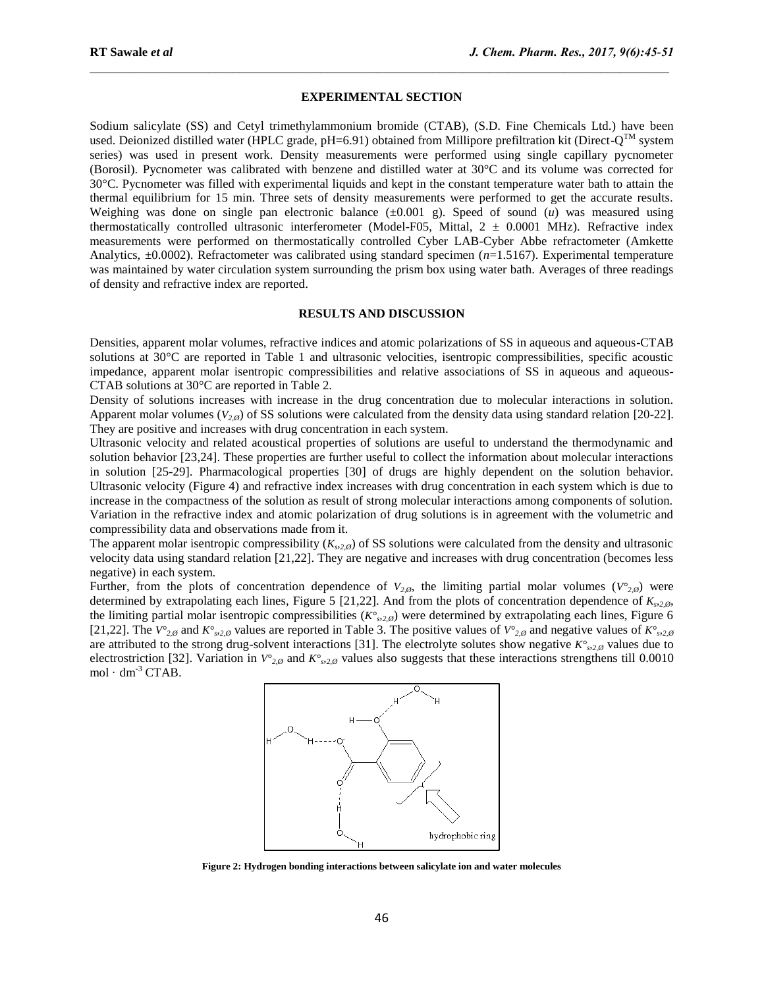### **EXPERIMENTAL SECTION**

 $\mathcal{L}_\mathcal{L} = \mathcal{L}_\mathcal{L}$ 

Sodium salicylate (SS) and Cetyl trimethylammonium bromide (CTAB), (S.D. Fine Chemicals Ltd.) have been used. Deionized distilled water (HPLC grade, pH=6.91) obtained from Millipore prefiltration kit (Direct- $Q^{TM}$  system series) was used in present work. Density measurements were performed using single capillary pycnometer (Borosil). Pycnometer was calibrated with benzene and distilled water at 30°C and its volume was corrected for 30°C. Pycnometer was filled with experimental liquids and kept in the constant temperature water bath to attain the thermal equilibrium for 15 min. Three sets of density measurements were performed to get the accurate results. Weighing was done on single pan electronic balance  $(\pm 0.001 \text{ g})$ . Speed of sound (*u*) was measured using thermostatically controlled ultrasonic interferometer (Model-F05, Mittal,  $2 \pm 0.0001$  MHz). Refractive index measurements were performed on thermostatically controlled Cyber LAB-Cyber Abbe refractometer (Amkette Analytics, ±0.0002). Refractometer was calibrated using standard specimen (*n*=1.5167). Experimental temperature was maintained by water circulation system surrounding the prism box using water bath. Averages of three readings of density and refractive index are reported.

#### **RESULTS AND DISCUSSION**

Densities, apparent molar volumes, refractive indices and atomic polarizations of SS in aqueous and aqueous-CTAB solutions at 30°C are reported in Table 1 and ultrasonic velocities, isentropic compressibilities, specific acoustic impedance, apparent molar isentropic compressibilities and relative associations of SS in aqueous and aqueous-CTAB solutions at 30°C are reported in Table 2.

Density of solutions increases with increase in the drug concentration due to molecular interactions in solution. Apparent molar volumes ( $V_{2,0}$ ) of SS solutions were calculated from the density data using standard relation [20-22]. They are positive and increases with drug concentration in each system.

Ultrasonic velocity and related acoustical properties of solutions are useful to understand the thermodynamic and solution behavior [23,24]. These properties are further useful to collect the information about molecular interactions in solution [25-29]. Pharmacological properties [30] of drugs are highly dependent on the solution behavior. Ultrasonic velocity (Figure 4) and refractive index increases with drug concentration in each system which is due to increase in the compactness of the solution as result of strong molecular interactions among components of solution. Variation in the refractive index and atomic polarization of drug solutions is in agreement with the volumetric and compressibility data and observations made from it.

The apparent molar isentropic compressibility  $(K_{s2,0})$  of SS solutions were calculated from the density and ultrasonic velocity data using standard relation [21,22]. They are negative and increases with drug concentration (becomes less negative) in each system.

Further, from the plots of concentration dependence of  $V_{2,\emptyset}$ , the limiting partial molar volumes ( $V^{\circ}_{2,\emptyset}$ ) were determined by extrapolating each lines, Figure 5 [21,22]. And from the plots of concentration dependence of  $K_{s2,\phi}$ , the limiting partial molar isentropic compressibilities ( $K^{\circ}$ <sub>2, $\emptyset$ </sub>) were determined by extrapolating each lines, Figure 6 [21,22]. The  $V^{\circ}_{2,\emptyset}$  and  $K^{\circ}_{s2,\emptyset}$  values are reported in Table 3. The positive values of  $V^{\circ}_{2,\emptyset}$  and negative values of  $K^{\circ}_{s2,\emptyset}$ are attributed to the strong drug-solvent interactions [31]. The electrolyte solutes show negative  $K^{\circ}_{s2,\theta}$  values due to electrostriction [32]. Variation in  $V^{\circ}_{2,\emptyset}$  and  $K^{\circ}_{s2,\emptyset}$  values also suggests that these interactions strengthens till 0.0010 mol  $\cdot$  dm<sup>-3</sup> CTAB.



**Figure 2: Hydrogen bonding interactions between salicylate ion and water molecules**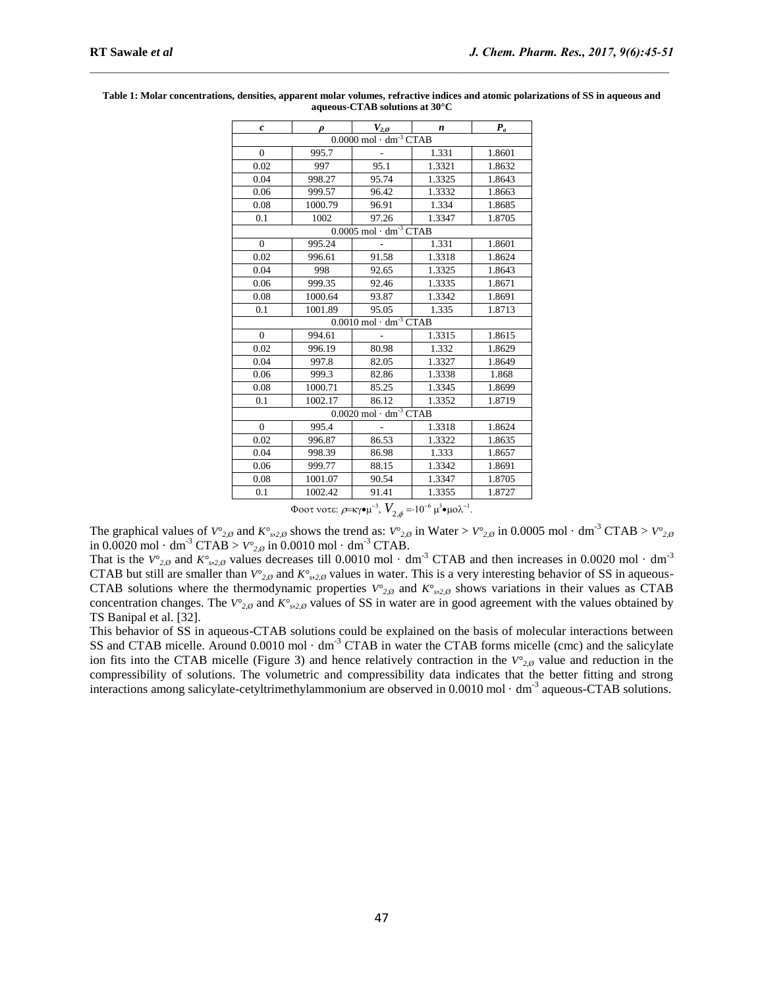| $\boldsymbol{c}$                               | $\boldsymbol{\rho}$ | $V_{2,\emptyset}$ | n      | $P_a$  |  |  |  |  |  |
|------------------------------------------------|---------------------|-------------------|--------|--------|--|--|--|--|--|
| $0.0000$ mol $\cdot$ dm <sup>-3</sup> CTAB     |                     |                   |        |        |  |  |  |  |  |
| $\mathbf{0}$                                   | 995.7               |                   | 1.331  | 1.8601 |  |  |  |  |  |
| 0.02                                           | 997                 | 95.1              | 1.3321 | 1.8632 |  |  |  |  |  |
| 0.04                                           | 998.27              | 95.74             | 1.3325 | 1.8643 |  |  |  |  |  |
| 0.06                                           | 999.57              | 96.42             | 1.3332 | 1.8663 |  |  |  |  |  |
| 0.08                                           | 1000.79             | 96.91             | 1.334  | 1.8685 |  |  |  |  |  |
| 0.1                                            | 1002                | 97.26             | 1.3347 | 1.8705 |  |  |  |  |  |
| $0.0005 \text{ mol} \cdot \text{dm}^{-3}$ CTAB |                     |                   |        |        |  |  |  |  |  |
| $\Omega$                                       | 995.24              |                   | 1.331  | 1.8601 |  |  |  |  |  |
| 0.02                                           | 996.61              | 91.58             | 1.3318 | 1.8624 |  |  |  |  |  |
| 0.04                                           | 998                 | 92.65             | 1.3325 | 1.8643 |  |  |  |  |  |
| 0.06                                           | 999.35              | 92.46             | 1.3335 | 1.8671 |  |  |  |  |  |
| 0.08                                           | 1000.64             | 93.87             | 1.3342 | 1.8691 |  |  |  |  |  |
| 0.1                                            | 1001.89             | 95.05             | 1.335  | 1.8713 |  |  |  |  |  |
| $0.0010$ mol $\cdot$ dm <sup>-3</sup> CTAB     |                     |                   |        |        |  |  |  |  |  |
| $\Omega$                                       | 994.61              |                   | 1.3315 | 1.8615 |  |  |  |  |  |
| 0.02                                           | 996.19              | 80.98             | 1.332  | 1.8629 |  |  |  |  |  |
| 0.04                                           | 997.8               | 82.05             | 1.3327 | 1.8649 |  |  |  |  |  |
| 0.06                                           | 999.3               | 82.86             | 1.3338 | 1.868  |  |  |  |  |  |
| 0.08                                           | 1000.71             | 85.25             | 1.3345 | 1.8699 |  |  |  |  |  |
| 0.1                                            | 1002.17             | 86.12             | 1.3352 | 1.8719 |  |  |  |  |  |
| $0.0020$ mol $\cdot$ dm <sup>-3</sup> CTAB     |                     |                   |        |        |  |  |  |  |  |
| $\mathbf{0}$                                   | 995.4               | $\sim$            | 1.3318 | 1.8624 |  |  |  |  |  |
| 0.02                                           | 996.87              | 86.53             | 1.3322 | 1.8635 |  |  |  |  |  |
| 0.04                                           | 998.39              | 86.98             | 1.333  | 1.8657 |  |  |  |  |  |
| 0.06                                           | 999.77              | 88.15             | 1.3342 | 1.8691 |  |  |  |  |  |
| 0.08                                           | 1001.07             | 90.54             | 1.3347 | 1.8705 |  |  |  |  |  |
| 0.1                                            | 1002.42             | 91.41             | 1.3355 | 1.8727 |  |  |  |  |  |

**Table 1: Molar concentrations, densities, apparent molar volumes, refractive indices and atomic polarizations of SS in aqueous and aqueous-CTAB solutions at 30°C**

 $\mathcal{L}_\mathcal{L} = \mathcal{L}_\mathcal{L}$ 

Φοοτ νοτε:  $\rho$ =κγ•μ $^{-3}$ ,  $V_{2,\phi}$  = 10<sup>-6</sup> μ $^3$ •μολ $^{-1}$ .

The graphical values of  $V^{\circ}_{2,\emptyset}$  and  $K^{\circ}_{s2,\emptyset}$  shows the trend as:  $V^{\circ}_{2,\emptyset}$  in Water >  $V^{\circ}_{2,\emptyset}$  in 0.0005 mol · dm<sup>-3</sup> CTAB >  $V^{\circ}_{2,\emptyset}$ in  $0.0020 \text{ mol} \cdot \text{dm}^3 \text{ CTAB} > V^{\circ}_{2,\emptyset}$  in  $0.0010 \text{ mol} \cdot \text{dm}^3 \text{ CTAB}$ .

That is the  $V^{\circ}_{2,\emptyset}$  and  $K^{\circ}_{2,\emptyset}$  values decreases till 0.0010 mol  $\cdot$  dm<sup>-3</sup> CTAB and then increases in 0.0020 mol  $\cdot$  dm<sup>-3</sup> CTAB but still are smaller than  $V^{\circ}_{2,\emptyset}$  and  $K^{\circ}_{2,\emptyset}$  values in water. This is a very interesting behavior of SS in aqueous-CTAB solutions where the thermodynamic properties  $V^{\circ}_{2,\emptyset}$  and  $K^{\circ}_{3,2,\emptyset}$  shows variations in their values as CTAB concentration changes. The  $V^{\circ}_{2,\emptyset}$  and  $K^{\circ}_{s2,\emptyset}$  values of SS in water are in good agreement with the values obtained by TS Banipal et al. [32].

This behavior of SS in aqueous-CTAB solutions could be explained on the basis of molecular interactions between SS and CTAB micelle. Around 0.0010 mol · dm<sup>-3</sup> CTAB in water the CTAB forms micelle (cmc) and the salicylate ion fits into the CTAB micelle (Figure 3) and hence relatively contraction in the  $V^{\circ}_{2,\emptyset}$  value and reduction in the compressibility of solutions. The volumetric and compressibility data indicates that the better fitting and strong interactions among salicylate-cetyltrimethylammonium are observed in 0.0010 mol · dm<sup>-3</sup> aqueous-CTAB solutions.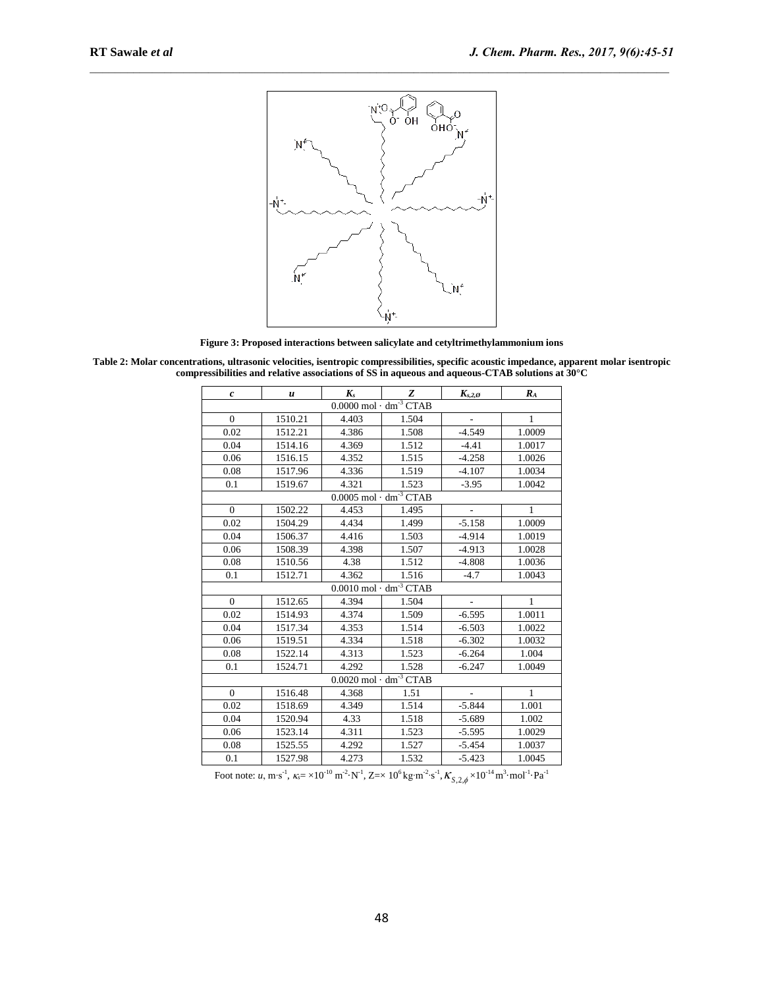

 $\mathcal{L}_\mathcal{L} = \mathcal{L}_\mathcal{L}$ 

**Figure 3: Proposed interactions between salicylate and cetyltrimethylammonium ions**

**Table 2: Molar concentrations, ultrasonic velocities, isentropic compressibilities, specific acoustic impedance, apparent molar isentropic compressibilities and relative associations of SS in aqueous and aqueous-CTAB solutions at 30°C**

| $\boldsymbol{c}$                           | $\boldsymbol{u}$ | $K_{s}$ | Z     | $K_{s,2,\varnothing}$    | $R_{A}$      |  |  |  |  |
|--------------------------------------------|------------------|---------|-------|--------------------------|--------------|--|--|--|--|
| $0.0000$ mol $\cdot$ dm <sup>-3</sup> CTAB |                  |         |       |                          |              |  |  |  |  |
| $\mathbf{0}$                               | 1510.21          | 4.403   | 1.504 | $\overline{\phantom{a}}$ | $\mathbf{1}$ |  |  |  |  |
| 0.02                                       | 1512.21          | 4.386   | 1.508 | $-4.549$                 | 1.0009       |  |  |  |  |
| 0.04                                       | 1514.16          | 4.369   | 1.512 | $-4.41$                  | 1.0017       |  |  |  |  |
| 0.06                                       | 1516.15          | 4.352   | 1.515 | $-4.258$                 | 1.0026       |  |  |  |  |
| 0.08                                       | 1517.96          | 4.336   | 1.519 | $-4.107$                 | 1.0034       |  |  |  |  |
| 0.1                                        | 1519.67          | 4.321   | 1.523 | $-3.95$                  | 1.0042       |  |  |  |  |
| $0.0005$ mol $\cdot$ dm <sup>-3</sup> CTAB |                  |         |       |                          |              |  |  |  |  |
| $\mathbf{0}$                               | 1502.22          | 4.453   | 1.495 | $\overline{\phantom{a}}$ | $\mathbf{1}$ |  |  |  |  |
| 0.02                                       | 1504.29          | 4.434   | 1.499 | $-5.158$                 | 1.0009       |  |  |  |  |
| 0.04                                       | 1506.37          | 4.416   | 1.503 | $-4.914$                 | 1.0019       |  |  |  |  |
| 0.06                                       | 1508.39          | 4.398   | 1.507 | $-4.913$                 | 1.0028       |  |  |  |  |
| 0.08                                       | 1510.56          | 4.38    | 1.512 | $-4.808$                 | 1.0036       |  |  |  |  |
| 0.1                                        | 1512.71          | 4.362   | 1.516 | $-4.7$                   | 1.0043       |  |  |  |  |
| $0.0010$ mol $\cdot$ dm <sup>-3</sup> CTAB |                  |         |       |                          |              |  |  |  |  |
| $\Omega$                                   | 1512.65          | 4.394   | 1.504 | $\frac{1}{2}$            | $\mathbf{1}$ |  |  |  |  |
| 0.02                                       | 1514.93          | 4.374   | 1.509 | $-6.595$                 | 1.0011       |  |  |  |  |
| 0.04                                       | 1517.34          | 4.353   | 1.514 | $-6.503$                 | 1.0022       |  |  |  |  |
| 0.06                                       | 1519.51          | 4.334   | 1.518 | $-6.302$                 | 1.0032       |  |  |  |  |
| 0.08                                       | 1522.14          | 4.313   | 1.523 | $-6.264$                 | 1.004        |  |  |  |  |
| 0.1                                        | 1524.71          | 4.292   | 1.528 | $-6.247$                 | 1.0049       |  |  |  |  |
| $0.0020$ mol $\cdot$ dm <sup>-3</sup> CTAB |                  |         |       |                          |              |  |  |  |  |
| $\Omega$                                   | 1516.48          | 4.368   | 1.51  | $\overline{a}$           | $\mathbf{1}$ |  |  |  |  |
| 0.02                                       | 1518.69          | 4.349   | 1.514 | $-5.844$                 | 1.001        |  |  |  |  |
| 0.04                                       | 1520.94          | 4.33    | 1.518 | $-5.689$                 | 1.002        |  |  |  |  |
| 0.06                                       | 1523.14          | 4.311   | 1.523 | $-5.595$                 | 1.0029       |  |  |  |  |
| 0.08                                       | 1525.55          | 4.292   | 1.527 | $-5.454$                 | 1.0037       |  |  |  |  |
| 0.1                                        | 1527.98          | 4.273   | 1.532 | $-5.423$                 | 1.0045       |  |  |  |  |

Foot note: *u*, m⋅s<sup>-1</sup>,  $\kappa_s$  = ×10<sup>-10</sup> m<sup>-2</sup>⋅N<sup>-1</sup>, Z=× 10<sup>6</sup> kg⋅m<sup>-2</sup>⋅s<sup>-1</sup>,  $\kappa_{s,2,\phi}$  ×10<sup>-14</sup> m<sup>3</sup>⋅mol<sup>-1</sup>⋅Pa<sup>-1</sup>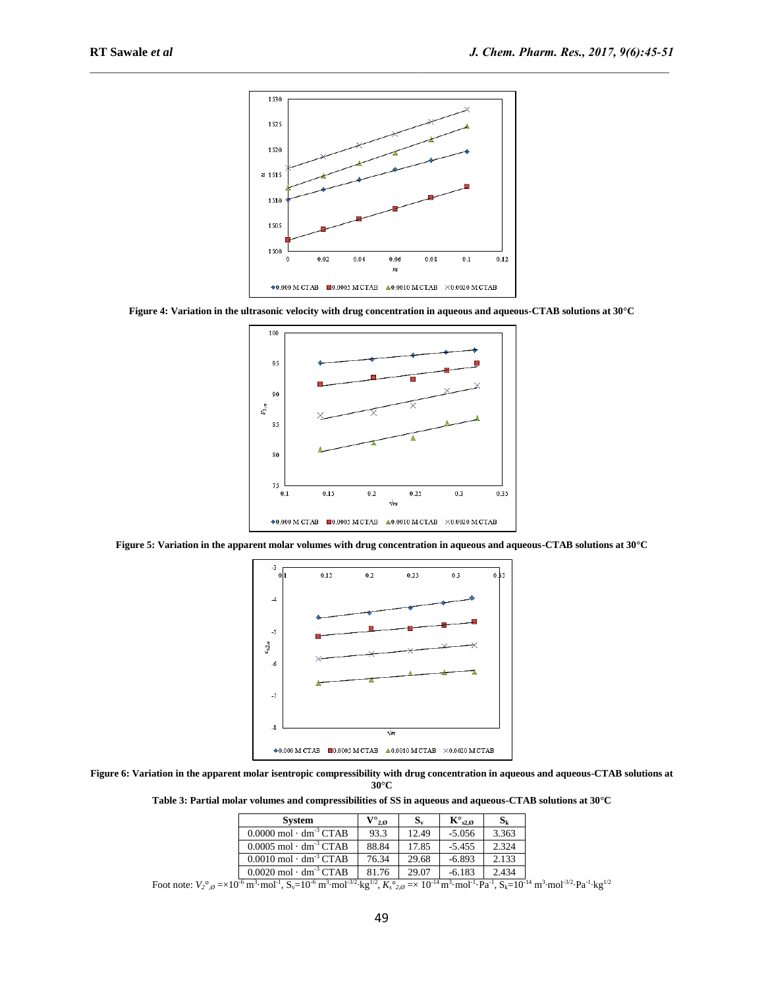

 $\mathcal{L}_\mathcal{L} = \mathcal{L}_\mathcal{L}$ 

**Figure 4: Variation in the ultrasonic velocity with drug concentration in aqueous and aqueous-CTAB solutions at 30°C**



**Figure 5: Variation in the apparent molar volumes with drug concentration in aqueous and aqueous-CTAB solutions at 30°C** 



**Figure 6: Variation in the apparent molar isentropic compressibility with drug concentration in aqueous and aqueous-CTAB solutions at 30°C**

**Table 3: Partial molar volumes and compressibilities of SS in aqueous and aqueous-CTAB solutions at 30°C**

| <b>System</b>                                  | $\mathrm{V^{\circ}}_{2:\mathcal{O}}$ | $S_{v}$ | $K^{\circ}{}_{s2.0}$ | $S_{k}$ |
|------------------------------------------------|--------------------------------------|---------|----------------------|---------|
| $0.0000 \text{ mol} \cdot \text{dm}^{-3}$ CTAB | 93.3                                 | 12.49   | $-5.056$             | 3.363   |
| $0.0005$ mol $\cdot$ dm <sup>-3</sup> CTAB     | 88.84                                | 17.85   | $-5.455$             | 2.324   |
| $0.0010$ mol $\cdot$ dm <sup>-3</sup> CTAB     | 76.34                                | 29.68   | $-6.893$             | 2.133   |
| $0.0020$ mol $\cdot$ dm <sup>-3</sup> CTAB     | 81.76                                | 29.07   | $-6.183$             | 2.434   |

 $\frac{F}{\sqrt{2}}$  Foot note:  $V_2^{\circ}$ , $\varrho = \times 10^{-6} \text{ m}^3 \cdot \text{mol}^{-1}$ ,  $\text{N}_{\text{av}} = \frac{10^{-4} \text{ m}^3 \cdot \text{mol}^{-1} \cdot \text{Pa}^{-1}}{2 \cdot \text{m}^3 \cdot \text{mol}^{-1} \cdot \text{Pa}^{-1}}$ ,  $\frac{10^{-4} \text{ m}^3 \cdot \text{mol}^{-3/2} \cdot \text{Pa}^{-1} \cdot \text{R}_{\text{av}}^{-1}}{2 \cdot \text{Pa}^{-1} \cdot \text{R}_{\$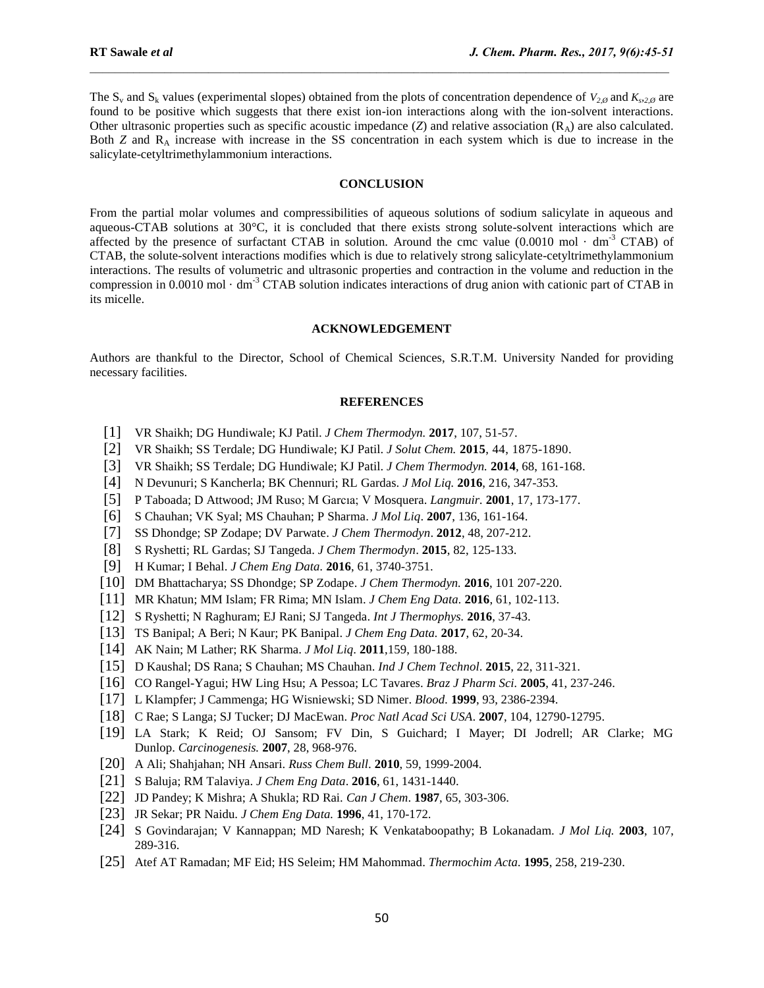The  $S_v$  and  $S_k$  values (experimental slopes) obtained from the plots of concentration dependence of  $V_{2,\emptyset}$  and  $K_{s2,\emptyset}$  are found to be positive which suggests that there exist ion-ion interactions along with the ion-solvent interactions. Other ultrasonic properties such as specific acoustic impedance  $(Z)$  and relative association  $(R_A)$  are also calculated. Both *Z* and R<sub>A</sub> increase with increase in the SS concentration in each system which is due to increase in the salicylate-cetyltrimethylammonium interactions.

 $\mathcal{L}_\mathcal{L} = \mathcal{L}_\mathcal{L}$ 

### **CONCLUSION**

From the partial molar volumes and compressibilities of aqueous solutions of sodium salicylate in aqueous and aqueous-CTAB solutions at 30°C, it is concluded that there exists strong solute-solvent interactions which are affected by the presence of surfactant CTAB in solution. Around the cmc value  $(0.0010 \text{ mol} \cdot \text{dm}^{-3}$  CTAB) of CTAB, the solute-solvent interactions modifies which is due to relatively strong salicylate-cetyltrimethylammonium interactions. The results of volumetric and ultrasonic properties and contraction in the volume and reduction in the compression in 0.0010 mol  $\cdot$  dm<sup>-3</sup> CTAB solution indicates interactions of drug anion with cationic part of CTAB in its micelle.

### **ACKNOWLEDGEMENT**

Authors are thankful to the Director, School of Chemical Sciences, S.R.T.M. University Nanded for providing necessary facilities.

#### **REFERENCES**

- [1] VR Shaikh; DG Hundiwale; KJ Patil. *J Chem Thermodyn.* **2017**, 107, 51-57.
- [2] VR Shaikh; SS Terdale; DG Hundiwale; KJ Patil. *J Solut Chem.* **2015**, 44, 1875-1890.
- [3] VR Shaikh; SS Terdale; DG Hundiwale; KJ Patil. *J Chem Thermodyn.* **2014**, 68, 161-168.
- [4] N Devunuri; S Kancherla; BK Chennuri; RL Gardas. *J Mol Liq.* **2016**, 216, 347-353.
- [5] P Taboada; D Attwood; JM Ruso; M Garcıa; V Mosquera. *Langmuir.* **2001**, 17*,* 173-177.
- [6] S Chauhan; VK Syal; MS Chauhan; P Sharma. *J Mol Liq*. **2007**, 136, 161-164.
- [7] SS Dhondge; SP Zodape; DV Parwate. *J Chem Thermodyn*. **2012**, 48, 207-212.
- [8] S Ryshetti; RL Gardas; SJ Tangeda. *J Chem Thermodyn*. **2015**, 82, 125-133.
- [9] H Kumar; I Behal. *J Chem Eng Data.* **2016**, 61, 3740-3751.
- [10] DM Bhattacharya; SS Dhondge; SP Zodape. *J Chem Thermodyn.* **2016**, 101 207-220.
- [11] MR Khatun; MM Islam; FR Rima; MN Islam. *J Chem Eng Data.* **2016**, 61, 102-113.
- [12] S Ryshetti; N Raghuram; EJ Rani; SJ Tangeda. *Int J Thermophys.* **2016**, 37-43.
- [13] TS Banipal; A Beri; N Kaur; PK Banipal. *J Chem Eng Data.* **2017**, 62, 20-34.
- [14] AK Nain; M Lather; RK Sharma. *J Mol Liq*. **2011**,159, 180-188.
- [15] D Kaushal; DS Rana; S Chauhan; MS Chauhan. *Ind J Chem Technol*. **2015**, 22, 311-321.
- [16] CO Rangel-Yagui; HW Ling Hsu; A Pessoa; LC Tavares. *Braz J Pharm Sci.* **2005**, 41, 237-246.
- [17] L Klampfer; J Cammenga; HG Wisniewski; SD Nimer. *Blood.* **1999**, 93, 2386-2394.
- [18] C Rae; S Langa; SJ Tucker; DJ MacEwan. *Proc Natl Acad Sci USA*. **2007**, 104, 12790-12795.
- [19] LA Stark; K Reid; OJ Sansom; FV Din, S Guichard; I Mayer; DI Jodrell; AR Clarke; MG Dunlop. *Carcinogenesis.* **2007**, 28, 968-976.
- [20] A Ali; Shahjahan; NH Ansari. *Russ Chem Bull*. **2010**, 59, 1999-2004.
- [21] S Baluja; RM Talaviya. *J Chem Eng Data*. **2016**, 61, 1431-1440.
- [22] JD Pandey; K Mishra; A Shukla; RD Rai. *Can J Chem*. **1987**, 65, 303-306.
- [23] JR Sekar; PR Naidu. *J Chem Eng Data.* **1996**, 41, 170-172.
- [24] S Govindarajan; V Kannappan; MD Naresh; K Venkataboopathy; B Lokanadam. *J Mol Liq.* **2003**, 107, 289-316.
- [25] Atef AT Ramadan; MF Eid; HS Seleim; HM Mahommad. *Thermochim Acta.* **1995**, 258, 219-230.